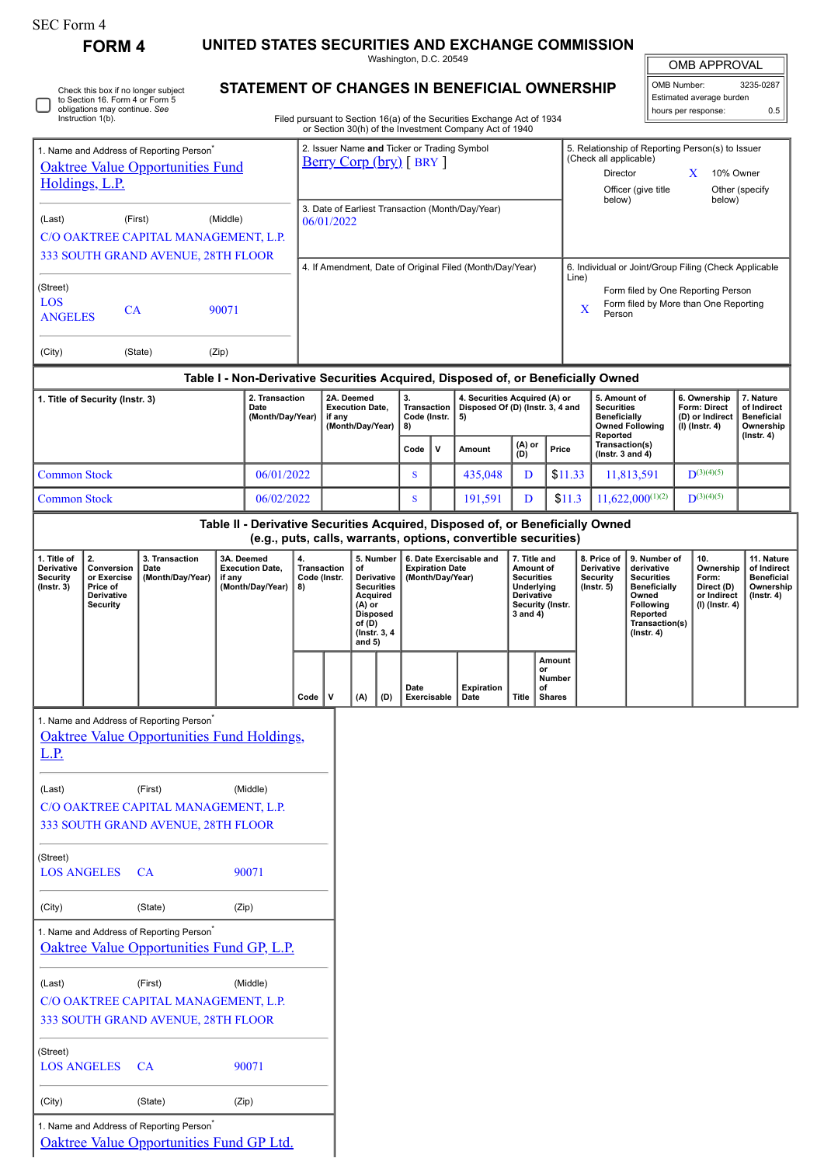| <b>SEC Form 4</b>                                                      | FORM 4                                             |                                                      |            |                                              |                          |                                                                                                                          |                            |                                                    |                        |                                  | UNITED STATES SECURITIES AND EXCHANGE COMMISSION                                                                                                |                                                      |                        |                                                                                                     |                                                                                   |                                                                   |                                    |                                                    |                                                    |
|------------------------------------------------------------------------|----------------------------------------------------|------------------------------------------------------|------------|----------------------------------------------|--------------------------|--------------------------------------------------------------------------------------------------------------------------|----------------------------|----------------------------------------------------|------------------------|----------------------------------|-------------------------------------------------------------------------------------------------------------------------------------------------|------------------------------------------------------|------------------------|-----------------------------------------------------------------------------------------------------|-----------------------------------------------------------------------------------|-------------------------------------------------------------------|------------------------------------|----------------------------------------------------|----------------------------------------------------|
|                                                                        |                                                    |                                                      |            |                                              |                          |                                                                                                                          |                            |                                                    | Washington, D.C. 20549 |                                  |                                                                                                                                                 |                                                      |                        |                                                                                                     |                                                                                   |                                                                   |                                    | <b>OMB APPROVAL</b>                                |                                                    |
| Check this box if no longer subject<br>to Section 16. Form 4 or Form 5 |                                                    |                                                      |            | STATEMENT OF CHANGES IN BENEFICIAL OWNERSHIP |                          |                                                                                                                          |                            |                                                    |                        |                                  |                                                                                                                                                 |                                                      |                        | OMB Number:<br>3235-0287<br>Estimated average burden                                                |                                                                                   |                                                                   |                                    |                                                    |                                                    |
|                                                                        | obligations may continue. See<br>Instruction 1(b). |                                                      |            |                                              |                          |                                                                                                                          |                            |                                                    |                        |                                  | Filed pursuant to Section 16(a) of the Securities Exchange Act of 1934<br>or Section 30(h) of the Investment Company Act of 1940                |                                                      |                        |                                                                                                     |                                                                                   |                                                                   |                                    | hours per response:                                | 0.5                                                |
|                                                                        |                                                    | 1. Name and Address of Reporting Person <sup>®</sup> |            |                                              |                          |                                                                                                                          |                            |                                                    |                        |                                  | 2. Issuer Name and Ticker or Trading Symbol                                                                                                     |                                                      |                        |                                                                                                     | (Check all applicable)                                                            | 5. Relationship of Reporting Person(s) to Issuer                  |                                    |                                                    |                                                    |
| <b>Oaktree Value Opportunities Fund</b><br>Holdings, L.P.              |                                                    |                                                      |            | Berry Corp (bry) [BRY]                       |                          |                                                                                                                          |                            |                                                    |                        |                                  |                                                                                                                                                 | Director<br>10% Owner<br>X                           |                        |                                                                                                     |                                                                                   |                                                                   |                                    |                                                    |                                                    |
|                                                                        |                                                    |                                                      |            |                                              |                          |                                                                                                                          |                            |                                                    |                        |                                  | 3. Date of Earliest Transaction (Month/Day/Year)                                                                                                |                                                      |                        |                                                                                                     | below)                                                                            | Officer (give title                                               |                                    | below)                                             | Other (specify                                     |
| (Last)                                                                 |                                                    | (First)<br>C/O OAKTREE CAPITAL MANAGEMENT, L.P.      | (Middle)   |                                              |                          |                                                                                                                          | 06/01/2022                 |                                                    |                        |                                  |                                                                                                                                                 |                                                      |                        |                                                                                                     |                                                                                   |                                                                   |                                    |                                                    |                                                    |
|                                                                        |                                                    | 333 SOUTH GRAND AVENUE, 28TH FLOOR                   |            |                                              |                          |                                                                                                                          |                            |                                                    |                        |                                  |                                                                                                                                                 |                                                      |                        | 6. Individual or Joint/Group Filing (Check Applicable                                               |                                                                                   |                                                                   |                                    |                                                    |                                                    |
| (Street)                                                               |                                                    |                                                      |            |                                              |                          | 4. If Amendment, Date of Original Filed (Month/Day/Year)                                                                 |                            |                                                    |                        |                                  |                                                                                                                                                 |                                                      |                        | Line)<br>Form filed by One Reporting Person<br>Form filed by More than One Reporting<br>X<br>Person |                                                                                   |                                                                   |                                    |                                                    |                                                    |
| LOS<br><b>ANGELES</b>                                                  | CA                                                 |                                                      | 90071      |                                              |                          |                                                                                                                          |                            |                                                    |                        |                                  |                                                                                                                                                 |                                                      |                        |                                                                                                     |                                                                                   |                                                                   |                                    |                                                    |                                                    |
|                                                                        |                                                    |                                                      |            |                                              |                          |                                                                                                                          |                            |                                                    |                        |                                  |                                                                                                                                                 |                                                      |                        |                                                                                                     |                                                                                   |                                                                   |                                    |                                                    |                                                    |
| (City)                                                                 |                                                    | (State)                                              | (Zip)      |                                              |                          |                                                                                                                          |                            |                                                    |                        |                                  |                                                                                                                                                 |                                                      |                        |                                                                                                     |                                                                                   |                                                                   |                                    |                                                    |                                                    |
|                                                                        | 1. Title of Security (Instr. 3)                    |                                                      |            | 2. Transaction<br>Date                       |                          | Table I - Non-Derivative Securities Acquired, Disposed of, or Beneficially Owned<br>2A. Deemed<br><b>Execution Date,</b> |                            | 3.                                                 | <b>Transaction</b>     | Disposed Of (D) (Instr. 3, 4 and | 4. Securities Acquired (A) or                                                                                                                   |                                                      |                        | 5. Amount of<br><b>Securities</b>                                                                   |                                                                                   | 6. Ownership<br>Form: Direct<br>(D) or Indirect<br>(I) (Instr. 4) | 7. Nature<br>of Indirect           |                                                    |                                                    |
|                                                                        |                                                    |                                                      |            |                                              | (Month/Day/Year)         |                                                                                                                          | if any<br>(Month/Day/Year) |                                                    | Code (Instr.<br>8)     |                                  | 5)                                                                                                                                              |                                                      |                        |                                                                                                     | <b>Beneficially</b><br>Reported                                                   |                                                                   | <b>Owned Following</b>             | <b>Beneficial</b><br>Ownership<br>$($ lnstr. 4 $)$ |                                                    |
|                                                                        |                                                    |                                                      |            |                                              |                          |                                                                                                                          |                            |                                                    | Code                   | $\mathsf{v}$                     | Amount                                                                                                                                          | (A) or<br>(D)                                        |                        | Price                                                                                               | Transaction(s)<br>( $lnstr. 3 and 4$ )                                            |                                                                   |                                    |                                                    |                                                    |
| <b>Common Stock</b>                                                    |                                                    |                                                      |            | 06/01/2022                                   |                          |                                                                                                                          |                            |                                                    |                        |                                  | 435,048                                                                                                                                         | D                                                    |                        | \$11.33                                                                                             |                                                                                   | 11,813,591                                                        |                                    | $D^{(3)(4)(5)}$                                    |                                                    |
| <b>Common Stock</b>                                                    |                                                    |                                                      |            | 06/02/2022                                   |                          |                                                                                                                          |                            |                                                    | S                      |                                  | 191,591                                                                                                                                         | D                                                    |                        | \$11.3                                                                                              |                                                                                   | $11,622,000^{(1)(2)}$                                             |                                    | $D^{(3)(4)(5)}$                                    |                                                    |
|                                                                        |                                                    |                                                      |            |                                              |                          |                                                                                                                          |                            |                                                    |                        |                                  | Table II - Derivative Securities Acquired, Disposed of, or Beneficially Owned<br>(e.g., puts, calls, warrants, options, convertible securities) |                                                      |                        |                                                                                                     |                                                                                   |                                                                   |                                    |                                                    |                                                    |
| 1. Title of<br>Derivative                                              | 2.<br>Conversion                                   | 3. Transaction<br>Date                               | 3A. Deemed | <b>Execution Date,</b>                       | 4.<br><b>Transaction</b> |                                                                                                                          |                            | 5. Number<br>of                                    |                        | <b>Expiration Date</b>           | 6. Date Exercisable and                                                                                                                         | 7. Title and<br>Amount of                            |                        |                                                                                                     | 8. Price of<br><b>Derivative</b>                                                  | 9. Number of<br>derivative                                        |                                    | 10.<br>Ownership                                   | 11. Nature<br>of Indirect                          |
| <b>Security</b><br>$($ lnstr. 3 $)$                                    | or Exercise<br>Price of<br>Derivative              | (Month/Day/Year)                                     | if any     | (Month/Day/Year)                             | Code (Instr.<br>8)       |                                                                                                                          |                            | <b>Derivative</b><br><b>Securities</b><br>Acquired |                        | (Month/Day/Year)                 |                                                                                                                                                 | <b>Securities</b><br>Underlying<br><b>Derivative</b> |                        |                                                                                                     | Security<br><b>Securities</b><br><b>Beneficially</b><br>$($ lnstr. 5 $)$<br>Owned |                                                                   | Form:<br>Direct (D)<br>or Indirect |                                                    | <b>Beneficial</b><br>Ownership<br>$($ lnstr. 4 $)$ |
|                                                                        | Security                                           |                                                      |            |                                              |                          |                                                                                                                          |                            | (A) or<br><b>Disposed</b><br>of (D)                |                        |                                  |                                                                                                                                                 | Security (Instr.<br>3 and 4)                         |                        |                                                                                                     |                                                                                   | Following<br>Reported<br>Transaction(s)                           | $(I)$ (Instr. 4)                   |                                                    |                                                    |
|                                                                        |                                                    |                                                      |            |                                              |                          |                                                                                                                          |                            | (Instr. 3, 4)<br>and $5)$                          |                        |                                  |                                                                                                                                                 |                                                      |                        |                                                                                                     | $($ lnstr. 4 $)$                                                                  |                                                                   |                                    |                                                    |                                                    |
|                                                                        |                                                    |                                                      |            |                                              |                          |                                                                                                                          |                            |                                                    |                        |                                  |                                                                                                                                                 |                                                      | Amount<br>or<br>Number |                                                                                                     |                                                                                   |                                                                   |                                    |                                                    |                                                    |
|                                                                        |                                                    |                                                      |            |                                              | Code                     | $\mathsf{v}$                                                                                                             |                            | (A)<br>(D)                                         | Date                   | Exercisable                      | <b>Expiration</b><br>Date                                                                                                                       | <b>Title</b>                                         | of<br><b>Shares</b>    |                                                                                                     |                                                                                   |                                                                   |                                    |                                                    |                                                    |
|                                                                        |                                                    | 1. Name and Address of Reporting Person <sup>*</sup> |            |                                              |                          |                                                                                                                          |                            |                                                    |                        |                                  |                                                                                                                                                 |                                                      |                        |                                                                                                     |                                                                                   |                                                                   |                                    |                                                    |                                                    |
| <u>L.P.</u>                                                            |                                                    | Oaktree Value Opportunities Fund Holdings,           |            |                                              |                          |                                                                                                                          |                            |                                                    |                        |                                  |                                                                                                                                                 |                                                      |                        |                                                                                                     |                                                                                   |                                                                   |                                    |                                                    |                                                    |
| (Last)                                                                 |                                                    | (First)                                              |            | (Middle)                                     |                          |                                                                                                                          |                            |                                                    |                        |                                  |                                                                                                                                                 |                                                      |                        |                                                                                                     |                                                                                   |                                                                   |                                    |                                                    |                                                    |
|                                                                        |                                                    | C/O OAKTREE CAPITAL MANAGEMENT, L.P.                 |            |                                              |                          |                                                                                                                          |                            |                                                    |                        |                                  |                                                                                                                                                 |                                                      |                        |                                                                                                     |                                                                                   |                                                                   |                                    |                                                    |                                                    |
|                                                                        |                                                    | 333 SOUTH GRAND AVENUE, 28TH FLOOR                   |            |                                              |                          |                                                                                                                          |                            |                                                    |                        |                                  |                                                                                                                                                 |                                                      |                        |                                                                                                     |                                                                                   |                                                                   |                                    |                                                    |                                                    |
| (Street)<br><b>LOS ANGELES</b><br>CA<br>90071                          |                                                    |                                                      |            |                                              |                          |                                                                                                                          |                            |                                                    |                        |                                  |                                                                                                                                                 |                                                      |                        |                                                                                                     |                                                                                   |                                                                   |                                    |                                                    |                                                    |
| (City)<br>(State)<br>(Zip)                                             |                                                    |                                                      |            |                                              |                          |                                                                                                                          |                            |                                                    |                        |                                  |                                                                                                                                                 |                                                      |                        |                                                                                                     |                                                                                   |                                                                   |                                    |                                                    |                                                    |
|                                                                        |                                                    | 1. Name and Address of Reporting Person <sup>*</sup> |            |                                              |                          |                                                                                                                          |                            |                                                    |                        |                                  |                                                                                                                                                 |                                                      |                        |                                                                                                     |                                                                                   |                                                                   |                                    |                                                    |                                                    |
|                                                                        |                                                    | Oaktree Value Opportunities Fund GP, L.P.            |            |                                              |                          |                                                                                                                          |                            |                                                    |                        |                                  |                                                                                                                                                 |                                                      |                        |                                                                                                     |                                                                                   |                                                                   |                                    |                                                    |                                                    |
| (First)<br>(Middle)<br>(Last)<br>C/O OAKTREE CAPITAL MANAGEMENT, L.P.  |                                                    |                                                      |            |                                              |                          |                                                                                                                          |                            |                                                    |                        |                                  |                                                                                                                                                 |                                                      |                        |                                                                                                     |                                                                                   |                                                                   |                                    |                                                    |                                                    |
|                                                                        |                                                    | 333 SOUTH GRAND AVENUE, 28TH FLOOR                   |            |                                              |                          |                                                                                                                          |                            |                                                    |                        |                                  |                                                                                                                                                 |                                                      |                        |                                                                                                     |                                                                                   |                                                                   |                                    |                                                    |                                                    |
| (Street)<br><b>LOS ANGELES</b>                                         |                                                    | <b>CA</b>                                            |            | 90071                                        |                          |                                                                                                                          |                            |                                                    |                        |                                  |                                                                                                                                                 |                                                      |                        |                                                                                                     |                                                                                   |                                                                   |                                    |                                                    |                                                    |
| (City)                                                                 |                                                    | (State)                                              | (Zip)      |                                              |                          |                                                                                                                          |                            |                                                    |                        |                                  |                                                                                                                                                 |                                                      |                        |                                                                                                     |                                                                                   |                                                                   |                                    |                                                    |                                                    |

1. Name and Address of Reporting Person\*

[Oaktree Value Opportunities Fund GP Ltd.](http://www.sec.gov/cgi-bin/browse-edgar?action=getcompany&CIK=0001474240)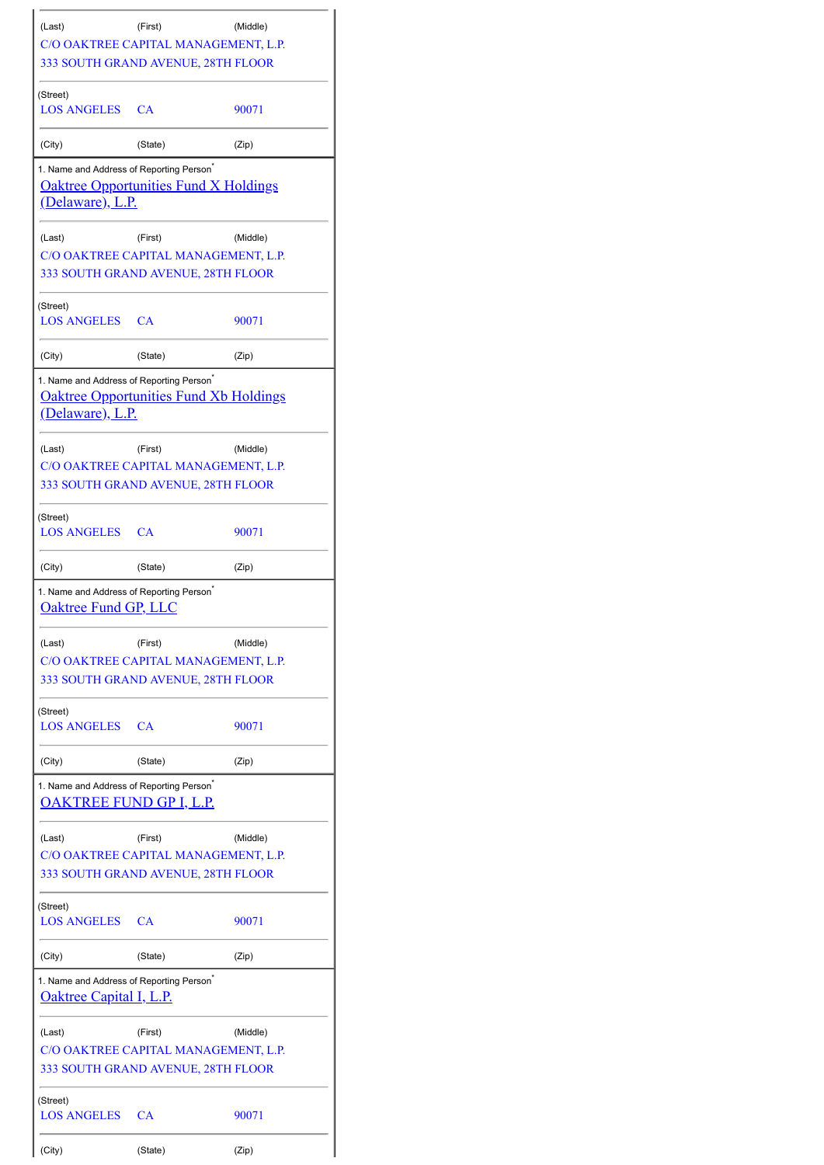| (Last)                                                                                 | (First)<br>C/O OAKTREE CAPITAL MANAGEMENT, L.P.<br>333 SOUTH GRAND AVENUE, 28TH FLOOR | (Middle) |
|----------------------------------------------------------------------------------------|---------------------------------------------------------------------------------------|----------|
| (Street)<br>LOS ANGELES                                                                | <b>CA</b>                                                                             | 90071    |
| (City)                                                                                 | (State)                                                                               | (Zip)    |
| 1. Name and Address of Reporting Person <sup>®</sup><br><u>(Delaware), L.P.</u>        | <b>Oaktree Opportunities Fund X Holdings</b>                                          |          |
| (Last)                                                                                 | (First)<br>C/O OAKTREE CAPITAL MANAGEMENT, L.P.<br>333 SOUTH GRAND AVENUE, 28TH FLOOR | (Middle) |
| (Street)<br><b>LOS ANGELES</b>                                                         | <b>CA</b>                                                                             | 90071    |
| (City)                                                                                 | (State)                                                                               | (Zip)    |
| 1. Name and Address of Reporting Person <sup>*</sup><br><u>(Delaware), L.P.</u>        | <b>Oaktree Opportunities Fund Xb Holdings</b>                                         |          |
| (Last)                                                                                 | (First)<br>C/O OAKTREE CAPITAL MANAGEMENT, L.P.<br>333 SOUTH GRAND AVENUE, 28TH FLOOR | (Middle) |
| (Street)<br>LOS ANGELES CA                                                             |                                                                                       | 90071    |
| (City)                                                                                 | (State)                                                                               | (Zip)    |
| 1. Name and Address of Reporting Person <sup>*</sup><br><b>Oaktree Fund GP, LLC</b>    |                                                                                       |          |
| (Last)                                                                                 | (First)<br>C/O OAKTREE CAPITAL MANAGEMENT, L.P.<br>333 SOUTH GRAND AVENUE, 28TH FLOOR | (Middle) |
| (Street)<br>LOS ANGELES CA                                                             |                                                                                       | 90071    |
| (City)                                                                                 | (State)                                                                               | (Zip)    |
| 1. Name and Address of Reporting Person <sup>*</sup><br>OAKTREE FUND GP I, L.P.        |                                                                                       |          |
| (Last)                                                                                 | (First)<br>C/O OAKTREE CAPITAL MANAGEMENT, L.P.<br>333 SOUTH GRAND AVENUE, 28TH FLOOR | (Middle) |
| (Street)<br><b>LOS ANGELES</b>                                                         | <b>CA</b>                                                                             | 90071    |
| (City)                                                                                 | (State)                                                                               | (Zip)    |
| 1. Name and Address of Reporting Person <sup>*</sup><br><b>Oaktree Capital I, L.P.</b> |                                                                                       |          |
| (Last)                                                                                 | (First)<br>C/O OAKTREE CAPITAL MANAGEMENT, L.P.<br>333 SOUTH GRAND AVENUE, 28TH FLOOR | (Middle) |
| (Street)<br><b>LOS ANGELES</b>                                                         |                                                                                       |          |
|                                                                                        | СA                                                                                    | 90071    |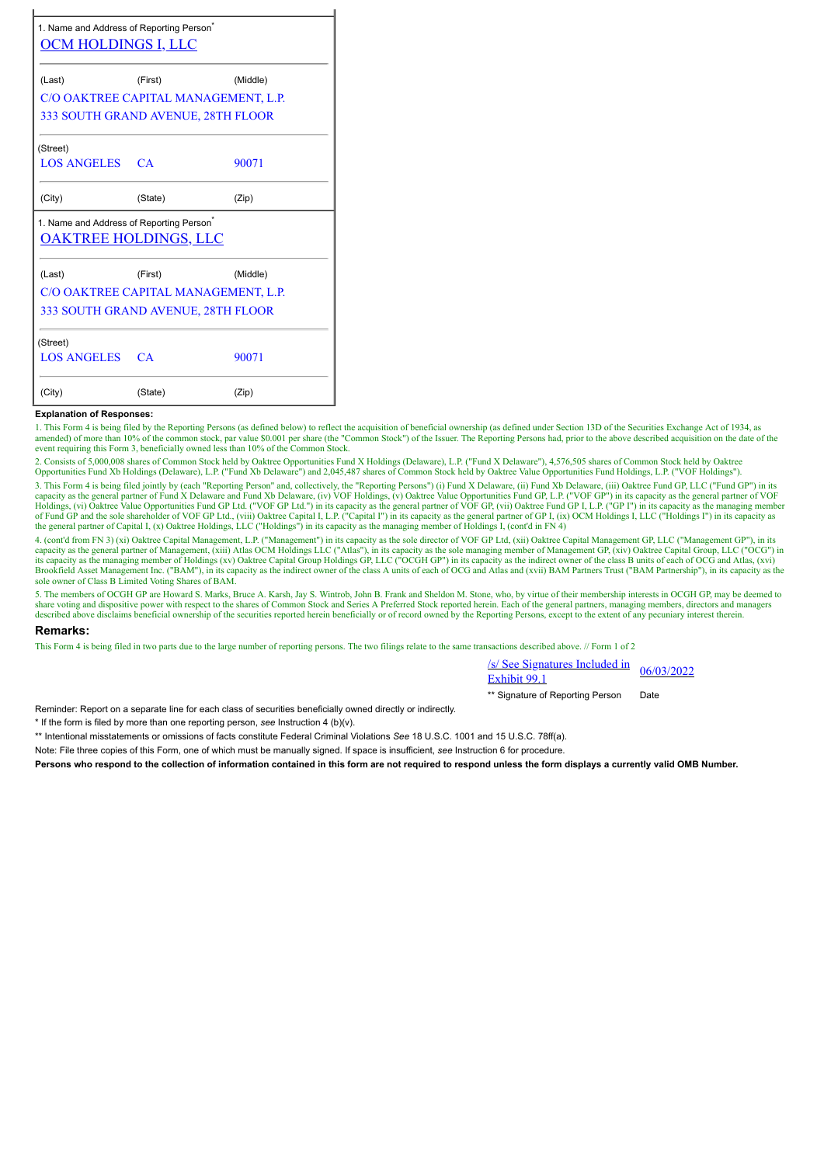| 1. Name and Address of Reporting Person <sup>®</sup><br><u>OCM HOLDINGS I, LLC</u>   |                                      |          |  |  |  |  |  |  |
|--------------------------------------------------------------------------------------|--------------------------------------|----------|--|--|--|--|--|--|
| (Last)                                                                               | (First)                              | (Middle) |  |  |  |  |  |  |
|                                                                                      | C/O OAKTREE CAPITAL MANAGEMENT, L.P. |          |  |  |  |  |  |  |
| 333 SOUTH GRAND AVENUE, 28TH FLOOR                                                   |                                      |          |  |  |  |  |  |  |
| (Street)                                                                             |                                      |          |  |  |  |  |  |  |
| <b>LOS ANGELES CA</b>                                                                |                                      | 90071    |  |  |  |  |  |  |
| (City)                                                                               | (State)                              | (Zip)    |  |  |  |  |  |  |
| 1. Name and Address of Reporting Person <sup>®</sup><br><u>OAKTREE HOLDINGS, LLC</u> |                                      |          |  |  |  |  |  |  |
| (Last)                                                                               | (First)                              | (Middle) |  |  |  |  |  |  |
| C/O OAKTREE CAPITAL MANAGEMENT, L.P.                                                 |                                      |          |  |  |  |  |  |  |
|                                                                                      | 333 SOUTH GRAND AVENUE, 28TH FLOOR   |          |  |  |  |  |  |  |
| (Street)                                                                             |                                      |          |  |  |  |  |  |  |
| LOS ANGELES CA                                                                       |                                      | 90071    |  |  |  |  |  |  |
| (City)                                                                               | (State)                              | (Zip)    |  |  |  |  |  |  |

#### **Explanation of Responses:**

1. This Form 4 is being filed by the Reporting Persons (as defined below) to reflect the acquisition of beneficial ownership (as defined under Section 13D of the Securities Exchange Act of 1934, as amended) of more than 10% of the common stock, par value \$0.001 per share (the "Common Stock") of the Issuer. The Reporting Persons had, prior to the above described acquisition on the date of the event requiring this Form 3, beneficially owned less than 10% of the Common Stock.

2. Consists of 5,000,008 shares of Common Stock held by Oaktree Opportunities Fund X Holdings (Delaware), L.P. ("Fund X Delaware"), 4,576,505 shares of Common Stock held by Oaktree Opportunities Fund Xb Holdings (Delaware), L.P. ("Fund Xb Delaware") and 2,045,487 shares of Common Stock held by Oaktree Value Opportunities Fund Holdings, L.P. ("VOF Holdings").

3. This Form 4 is being filed jointly by (each "Reporting Person" and, collectively, the "Reporting Persons") (i) Fund X Delaware, (ii) Fund Xb Delaware, (iii) Oaktree Fund GP, LLC ("Fund GP") in its capacity as the general partner of Fund X Delaware and Fund Xb Delaware, (iv) VOF Holdings, (v) Oaktree Value Opportunities Fund GP, L.P. ("VOF GP") in its capacity as the general partner of VOF<br>Holdings, (vi) Oaktree Valu the general partner of Capital I, (x) Oaktree Holdings, LLC ("Holdings") in its capacity as the managing member of Holdings I, (cont'd in FN 4)

4. (cont'd from FN 3) (xi) Oaktree Capital Management, L.P. ("Management") in its capacity as the sole director of VOF GP Ltd, (xii) Oaktree Capital Management GP, LLC ("Management GP"), in its capacity as the general partner of Management, (xiii) Atlas OCM Holdings LLC ("Atlas"), in its capacity as the sole managing member of Management GP, (xiv) Oaktree Capital Group, LLC ("OCG") in<br>its capacity as the managing Brookfield Asset Management Inc. ("BAM"), in its capacity as the indirect owner of the class A units of each of OCG and Atlas and (xvii) BAM Partners Trust ("BAM Partnership"), in its capacity as the sole owner of Class B Limited Voting Shares of BAM.

5. The members of OCGH GP are Howard S. Marks, Bruce A. Karsh, Jay S. Wintrob, John B. Frank and Sheldon M. Stone, who, by virtue of their membership interests in OCGH GP, may be deemed to share voting and dispositive power with respect to the shares of Common Stock and Series A Preferred Stock reported herein. Each of the general partners, managing members, directors and managers described above disclaims b

#### **Remarks:**

This Form 4 is being filed in two parts due to the large number of reporting persons. The two filings relate to the same transactions described above. // Form 1 of 2

| /s/ See Signatures Included in | 06/03/2022 |
|--------------------------------|------------|
| Exhibit 99.1                   |            |
|                                |            |

\*\* Signature of Reporting Person Date

Reminder: Report on a separate line for each class of securities beneficially owned directly or indirectly.

\* If the form is filed by more than one reporting person, *see* Instruction 4 (b)(v).

\*\* Intentional misstatements or omissions of facts constitute Federal Criminal Violations *See* 18 U.S.C. 1001 and 15 U.S.C. 78ff(a).

Note: File three copies of this Form, one of which must be manually signed. If space is insufficient, *see* Instruction 6 for procedure.

**Persons who respond to the collection of information contained in this form are not required to respond unless the form displays a currently valid OMB Number.**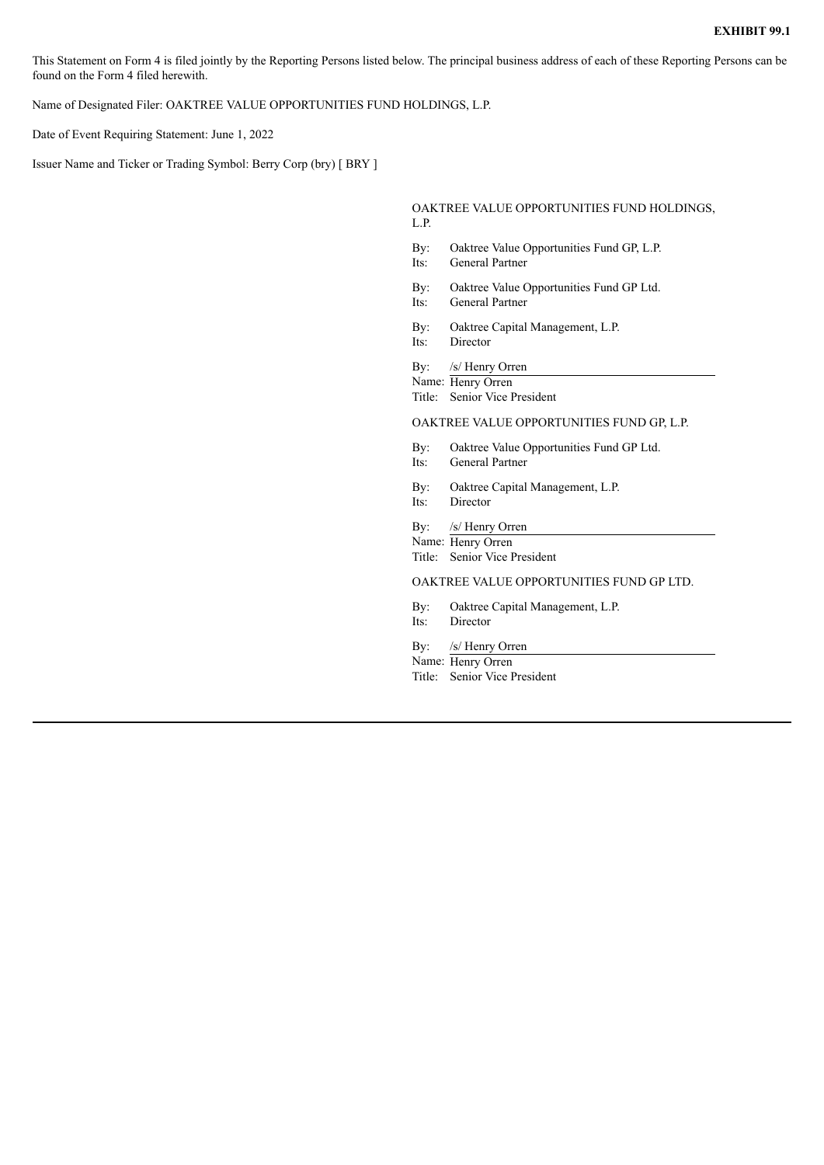This Statement on Form 4 is filed jointly by the Reporting Persons listed below. The principal business address of each of these Reporting Persons can be found on the Form 4 filed herewith.

Name of Designated Filer: OAKTREE VALUE OPPORTUNITIES FUND HOLDINGS, L.P.

Date of Event Requiring Statement: June 1, 2022

Issuer Name and Ticker or Trading Symbol: Berry Corp (bry) [ BRY ]

OAKTREE VALUE OPPORTUNITIES FUND HOLDINGS, L.P.

- By: Oaktree Value Opportunities Fund GP, L.P.
- Its: General Partner
- By: Oaktree Value Opportunities Fund GP Ltd.
- Its: General Partner
- By: Oaktree Capital Management, L.P.
- Its: Director

By: /s/ Henry Orren

Name: Henry Orren Title: Senior Vice President

### OAKTREE VALUE OPPORTUNITIES FUND GP, L.P.

- By: Oaktree Value Opportunities Fund GP Ltd.
- Its: General Partner
- By: Oaktree Capital Management, L.P.
- Its: Director
- By: /s/ Henry Orren

Name: Henry Orren

Title: Senior Vice President

OAKTREE VALUE OPPORTUNITIES FUND GP LTD.

- By: Oaktree Capital Management, L.P.
- Its: Director
- By: /s/ Henry Orren Name: Henry Orren
- Title: Senior Vice President